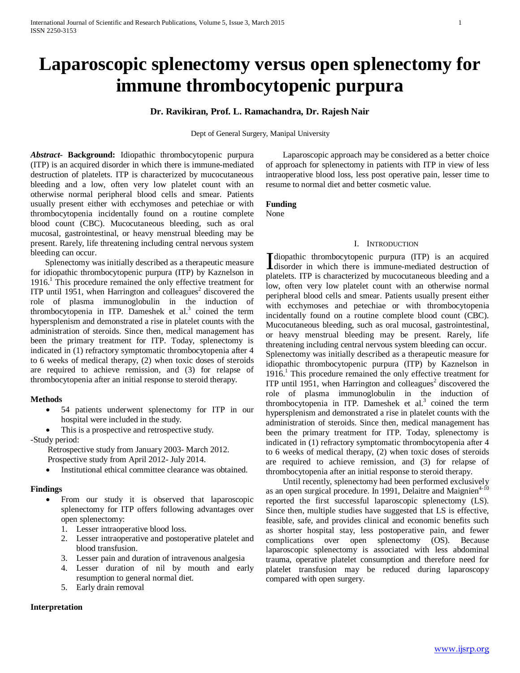# **Laparoscopic splenectomy versus open splenectomy for immune thrombocytopenic purpura**

# **Dr. Ravikiran, Prof. L. Ramachandra, Dr. Rajesh Nair**

Dept of General Surgery, Manipal University

*Abstract***- Background:** Idiopathic thrombocytopenic purpura (ITP) is an acquired disorder in which there is immune-mediated destruction of platelets. ITP is characterized by mucocutaneous bleeding and a low, often very low platelet count with an otherwise normal peripheral blood cells and smear. Patients usually present either with ecchymoses and petechiae or with thrombocytopenia incidentally found on a routine complete blood count (CBC). Mucocutaneous bleeding, such as oral mucosal, gastrointestinal, or heavy menstrual bleeding may be present. Rarely, life threatening including central nervous system bleeding can occur.

 Splenectomy was initially described as a therapeutic measure for idiopathic thrombocytopenic purpura (ITP) by Kaznelson in 1916. <sup>1</sup> This procedure remained the only effective treatment for ITP until 1951, when Harrington and colleagues<sup>2</sup> discovered the role of plasma immunoglobulin in the induction of thrombocytopenia in ITP. Dameshek et al.<sup>3</sup> coined the term hypersplenism and demonstrated a rise in platelet counts with the administration of steroids. Since then, medical management has been the primary treatment for ITP. Today, splenectomy is indicated in (1) refractory symptomatic thrombocytopenia after 4 to 6 weeks of medical therapy, (2) when toxic doses of steroids are required to achieve remission, and (3) for relapse of thrombocytopenia after an initial response to steroid therapy.

# **Methods**

- 54 patients underwent splenectomy for ITP in our hospital were included in the study.
- This is a prospective and retrospective study.

-Study period:

 Retrospective study from January 2003- March 2012. Prospective study from April 2012- July 2014.

Institutional ethical committee clearance was obtained.

# **Findings**

- From our study it is observed that laparoscopic splenectomy for ITP offers following advantages over open splenectomy:
	- 1. Lesser intraoperative blood loss.
	- 2. Lesser intraoperative and postoperative platelet and blood transfusion.
	- 3. Lesser pain and duration of intravenous analgesia
	- 4. Lesser duration of nil by mouth and early resumption to general normal diet.
	- 5. Early drain removal

# **Interpretation**

 Laparoscopic approach may be considered as a better choice of approach for splenectomy in patients with ITP in view of less intraoperative blood loss, less post operative pain, lesser time to resume to normal diet and better cosmetic value.

# **Funding**

None

#### I. INTRODUCTION

diopathic thrombocytopenic purpura (ITP) is an acquired disorder in which there is immune-mediated destruction of platelets. ITP is characterized by mucocutaneous bleeding and a low, often very low platelet count with an otherwise normal peripheral blood cells and smear. Patients usually present either with ecchymoses and petechiae or with thrombocytopenia incidentally found on a routine complete blood count (CBC). Mucocutaneous bleeding, such as oral mucosal, gastrointestinal, or heavy menstrual bleeding may be present. Rarely, life threatening including central nervous system bleeding can occur. Splenectomy was initially described as a therapeutic measure for idiopathic thrombocytopenic purpura (ITP) by Kaznelson in 1916. <sup>1</sup> This procedure remained the only effective treatment for ITP until 1951, when Harrington and colleagues<sup>2</sup> discovered the role of plasma immunoglobulin in the induction of thrombocytopenia in ITP. Dameshek et al. $3$  coined the term hypersplenism and demonstrated a rise in platelet counts with the administration of steroids. Since then, medical management has been the primary treatment for ITP. Today, splenectomy is indicated in (1) refractory symptomatic thrombocytopenia after 4 to 6 weeks of medical therapy, (2) when toxic doses of steroids are required to achieve remission, and (3) for relapse of thrombocytopenia after an initial response to steroid therapy.

 Until recently, splenectomy had been performed exclusively as an open surgical procedure. In 1991, Delaitre and Maignien<sup>4-10</sup> reported the first successful laparoscopic splenectomy (LS). Since then, multiple studies have suggested that LS is effective, feasible, safe, and provides clinical and economic benefits such as shorter hospital stay, less postoperative pain, and fewer complications over open splenectomy (OS). Because laparoscopic splenectomy is associated with less abdominal trauma, operative platelet consumption and therefore need for platelet transfusion may be reduced during laparoscopy compared with open surgery.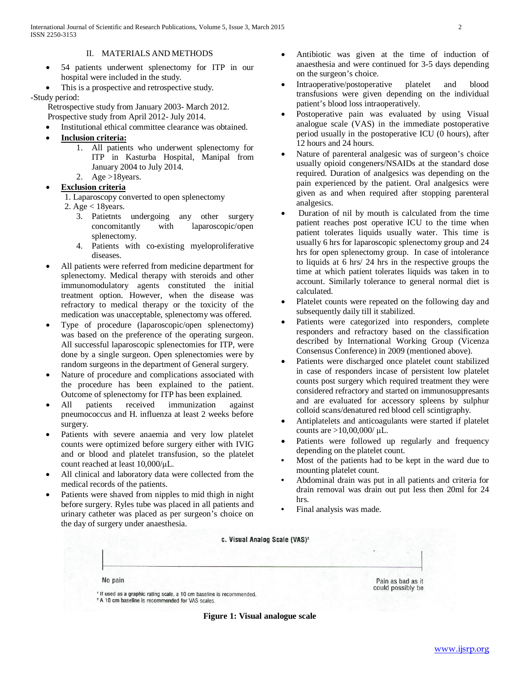# II. MATERIALS AND METHODS

- 54 patients underwent splenectomy for ITP in our hospital were included in the study.
- This is a prospective and retrospective study.

# -Study period:

 Retrospective study from January 2003- March 2012. Prospective study from April 2012- July 2014.

- Institutional ethical committee clearance was obtained.
- **Inclusion criteria:**
	- 1. All patients who underwent splenectomy for ITP in Kasturba Hospital, Manipal from January 2004 to July 2014.
- 2. Age  $>18$ years.

# **Exclusion criteria**

1. Laparoscopy converted to open splenectomy

- 2. Age < 18years.
	- 3. Patietnts undergoing any other surgery concomitantly with laparoscopic/open splenectomy.
	- 4. Patients with co-existing myeloproliferative diseases.
- All patients were referred from medicine department for splenectomy. Medical therapy with steroids and other immunomodulatory agents constituted the initial treatment option. However, when the disease was refractory to medical therapy or the toxicity of the medication was unacceptable, splenectomy was offered.
- Type of procedure (laparoscopic/open splenectomy) was based on the preference of the operating surgeon. All successful laparoscopic splenectomies for ITP, were done by a single surgeon. Open splenectomies were by random surgeons in the department of General surgery.
- Nature of procedure and complications associated with the procedure has been explained to the patient. Outcome of splenectomy for ITP has been explained.
- All patients received immunization against pneumococcus and H. influenza at least 2 weeks before surgery.
- Patients with severe anaemia and very low platelet counts were optimized before surgery either with IVIG and or blood and platelet transfusion, so the platelet count reached at least 10,000/μL.
- All clinical and laboratory data were collected from the medical records of the patients.
- Patients were shaved from nipples to mid thigh in night before surgery. Ryles tube was placed in all patients and urinary catheter was placed as per surgeon's choice on the day of surgery under anaesthesia.
- Antibiotic was given at the time of induction of anaesthesia and were continued for 3-5 days depending on the surgeon's choice.
- Intraoperative/postoperative platelet and blood transfusions were given depending on the individual patient's blood loss intraoperatively.
- Postoperative pain was evaluated by using Visual analogue scale (VAS) in the immediate postoperative period usually in the postoperative ICU (0 hours), after 12 hours and 24 hours.
- Nature of parenteral analgesic was of surgeon's choice usually opioid congeners/NSAIDs at the standard dose required. Duration of analgesics was depending on the pain experienced by the patient. Oral analgesics were given as and when required after stopping parenteral analgesics.
- Duration of nil by mouth is calculated from the time patient reaches post operative ICU to the time when patient tolerates liquids usually water. This time is usually 6 hrs for laparoscopic splenectomy group and 24 hrs for open splenectomy group. In case of intolerance to liquids at 6 hrs/ 24 hrs in the respective groups the time at which patient tolerates liquids was taken in to account. Similarly tolerance to general normal diet is calculated.
- Platelet counts were repeated on the following day and subsequently daily till it stabilized.
- Patients were categorized into responders, complete responders and refractory based on the classification described by International Working Group (Vicenza Consensus Conference) in 2009 (mentioned above).
- Patients were discharged once platelet count stabilized in case of responders incase of persistent low platelet counts post surgery which required treatment they were considered refractory and started on immunosuppresants and are evaluated for accessory spleens by sulphur colloid scans/denatured red blood cell scintigraphy.
- Antiplatelets and anticoagulants were started if platelet counts are  $>10,00,000/$  μL.
- Patients were followed up regularly and frequency depending on the platelet count.
- Most of the patients had to be kept in the ward due to mounting platelet count.
- Abdominal drain was put in all patients and criteria for drain removal was drain out put less then 20ml for 24 hrs.
- Final analysis was made.



**Figure 1: Visual analogue scale**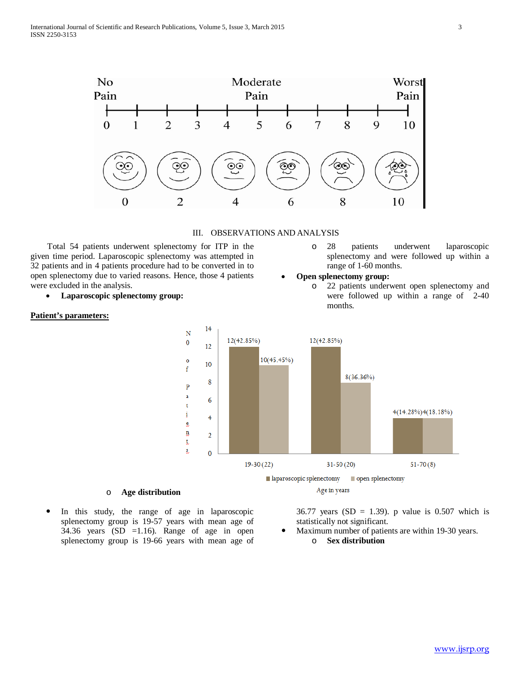

III. OBSERVATIONS AND ANALYSIS

 Total 54 patients underwent splenectomy for ITP in the given time period. Laparoscopic splenectomy was attempted in 32 patients and in 4 patients procedure had to be converted in to open splenectomy due to varied reasons. Hence, those 4 patients were excluded in the analysis.

• **Laparoscopic splenectomy group:**

#### **Patient's parameters:**

o 28 patients underwent laparoscopic splenectomy and were followed up within a range of 1-60 months.

#### • **Open splenectomy group:**

o 22 patients underwent open splenectomy and were followed up within a range of 2-40 months.



#### o **Age distribution**

 In this study, the range of age in laparoscopic splenectomy group is 19-57 years with mean age of 34.36 years  $(SD = 1.16)$ . Range of age in open splenectomy group is 19-66 years with mean age of

36.77 years (SD = 1.39). p value is  $0.507$  which is statistically not significant.

- Maximum number of patients are within 19-30 years.
	- o **Sex distribution**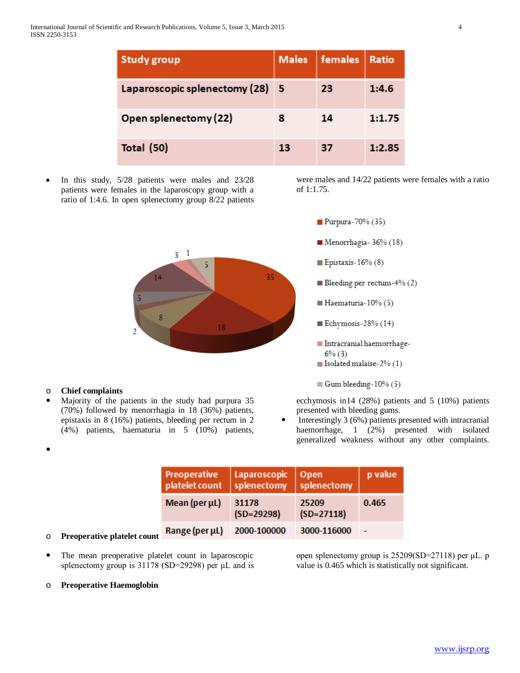| <b>Study group</b>              | <b>Males</b> | females | Ratio  |
|---------------------------------|--------------|---------|--------|
| Laparoscopic splenectomy (28) 5 |              | 23      | 1:4.6  |
| Open splenectomy (22)           | 8            | 14      | 1:1.75 |
| <b>Total (50)</b>               | 13           | 37      | 1:2.85 |

• In this study, 5/28 patients were males and 23/28 patients were females in the laparoscopy group with a ratio of 1:4.6. In open splenectomy group 8/22 patients were males and 14/22 patients were females with a ratio of 1:1.75.



# o **Chief complaints**

 $\bullet$ 

 Majority of the patients in the study had purpura 35 (70%) followed by menorrhagia in 18 (36%) patients, epistaxis in 8 (16%) patients, bleeding per rectum in 2 (4%) patients, haematuria in 5 (10%) patients, Epistaxis-16%  $(8)$ Bleeding per rectum- $4\%$  (2)  $\blacksquare$  Haematuria-10% (5)

Purpura- $70\%$  (35)

- Echymosis- $28%$  (14)
- Intracranial haemorrhage- $6\%$  (3)
- Solated malaise- $2\%$  (1)

Gum bleeding -  $10\%$  (5)

ecchymosis in14 (28%) patients and 5 (10%) patients presented with bleeding gums.

 Interestingly 3 (6%) patients presented with intracranial haemorrhage, 1 (2%) presented with isolated generalized weakness without any other complaints.

| Preoperative<br>platelet count | Laparoscopic<br>splenectomy | Open<br>splenectomy   | p value |
|--------------------------------|-----------------------------|-----------------------|---------|
| Mean (per µL)                  | 31178<br>$(SD=29298)$       | 25209<br>$(SD=27118)$ | 0.465   |
| Range (per µL)                 | 2000-100000                 | 3000-116000           |         |

# o **Preoperative platelet count**

 The mean preoperative platelet count in laparoscopic splenectomy group is 31178 (SD=29298) per μL and is

# o **Preoperative Haemoglobin**

open splenectomy group is 25209(SD=27118) per μL. p value is 0.465 which is statistically not significant.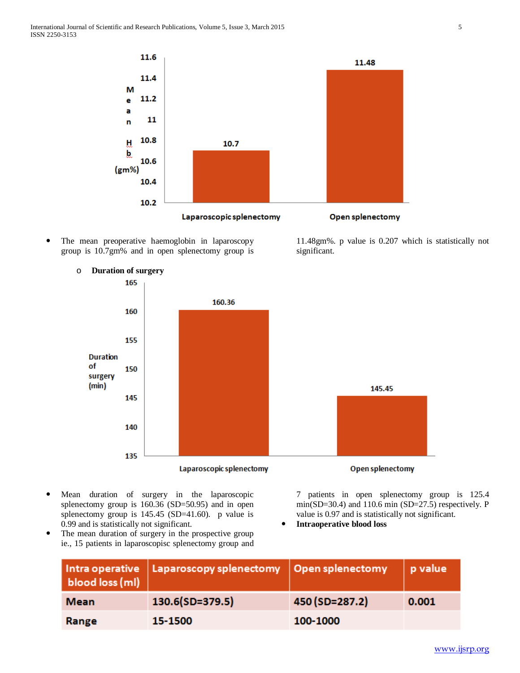

 The mean preoperative haemoglobin in laparoscopy group is 10.7gm% and in open splenectomy group is



o **Duration of surgery**

7 patients in open splenectomy group is 125.4 min(SD=30.4) and 110.6 min (SD=27.5) respectively. P value is 0.97 and is statistically not significant.

- **Intraoperative blood loss**
- The mean duration of surgery in the prospective group ie., 15 patients in laparoscopisc splenectomy group and

0.99 and is statistically not significant.

 Mean duration of surgery in the laparoscopic splenectomy group is 160.36 (SD=50.95) and in open splenectomy group is 145.45 (SD=41.60). p value is

| blood loss (ml) | $\mid$ Intra operative $\mid$ Laparoscopy splenectomy $\mid$ Open splenectomy |                | p value |
|-----------------|-------------------------------------------------------------------------------|----------------|---------|
| <b>Mean</b>     | 130.6(SD=379.5)                                                               | 450 (SD=287.2) | 0.001   |
| Range           | 15-1500                                                                       | 100-1000       |         |

11.48gm%. p value is 0.207 which is statistically not significant.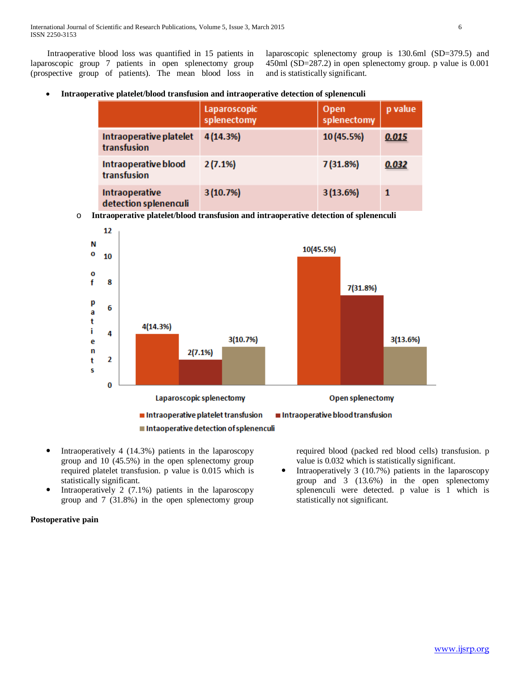Intraoperative blood loss was quantified in 15 patients in laparoscopic group 7 patients in open splenectomy group (prospective group of patients). The mean blood loss in laparoscopic splenectomy group is 130.6ml (SD=379.5) and 450ml (SD=287.2) in open splenectomy group. p value is 0.001 and is statistically significant.

|                                         | Laparoscopic<br>splenectomy | Open<br>splenectomy | p value      |
|-----------------------------------------|-----------------------------|---------------------|--------------|
| Intraoperative platelet<br>transfusion  | 4(14.3%)                    | 10 (45.5%)          | 0.015        |
| Intraoperative blood<br>transfusion     | 2(7.1%)                     | 7 (31.8%)           | 0.032        |
| Intraoperative<br>detection splenenculi | 3(10.7%)                    | 3(13.6%)            | $\mathbf{1}$ |

o **Intraoperative platelet/blood transfusion and intraoperative detection of splenenculi**



- Intraoperatively 4 (14.3%) patients in the laparoscopy group and 10 (45.5%) in the open splenectomy group required platelet transfusion. p value is 0.015 which is statistically significant.
- Intraoperatively 2  $(7.1\%)$  patients in the laparoscopy group and 7 (31.8%) in the open splenectomy group

required blood (packed red blood cells) transfusion. p value is 0.032 which is statistically significant.

• Intraoperatively 3 (10.7%) patients in the laparoscopy group and 3 (13.6%) in the open splenectomy splenenculi were detected. p value is 1 which is statistically not significant.

# **Postoperative pain**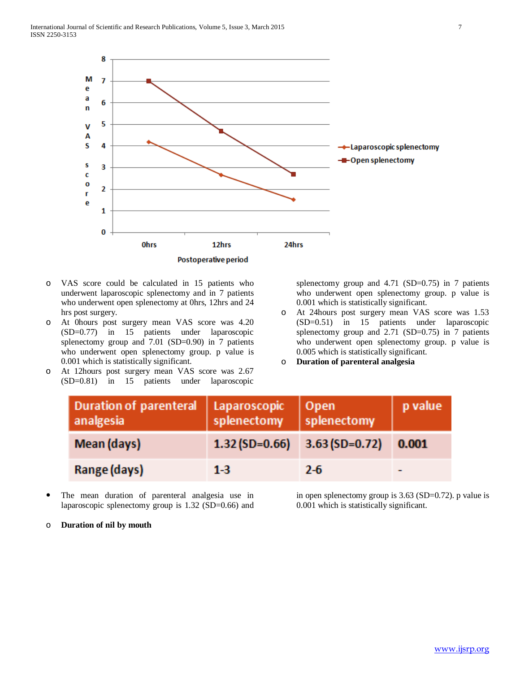

- o VAS score could be calculated in 15 patients who underwent laparoscopic splenectomy and in 7 patients who underwent open splenectomy at 0hrs, 12hrs and 24 hrs post surgery.
- o At 0hours post surgery mean VAS score was 4.20 (SD=0.77) in 15 patients under laparoscopic splenectomy group and 7.01 (SD=0.90) in 7 patients who underwent open splenectomy group. p value is 0.001 which is statistically significant.
- o At 12hours post surgery mean VAS score was 2.67 (SD=0.81) in 15 patients under laparoscopic

splenectomy group and 4.71 (SD=0.75) in 7 patients who underwent open splenectomy group. p value is 0.001 which is statistically significant.

- o At 24hours post surgery mean VAS score was 1.53 (SD=0.51) in 15 patients under laparoscopic splenectomy group and 2.71 (SD=0.75) in 7 patients who underwent open splenectomy group. p value is 0.005 which is statistically significant.
- o **Duration of parenteral analgesia**

| Duration of parenteral   Laparoscopic<br>analgesia | splenectomy                     | Open<br>splenectomy | p value |
|----------------------------------------------------|---------------------------------|---------------------|---------|
| Mean (days)                                        | $1.32(SD=0.66)$ $3.63(SD=0.72)$ |                     | 0.001   |
| Range (days)                                       | $1 - 3$                         | 2-6                 |         |

 The mean duration of parenteral analgesia use in laparoscopic splenectomy group is 1.32 (SD=0.66) and

o **Duration of nil by mouth**

in open splenectomy group is 3.63 (SD=0.72). p value is 0.001 which is statistically significant.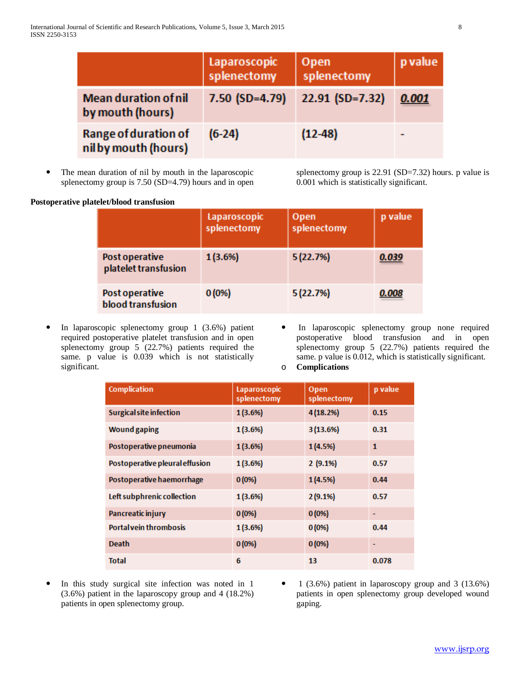|                                                 | Laparoscopic<br>splenectomy | <b>Open</b><br>splenectomy | p value |
|-------------------------------------------------|-----------------------------|----------------------------|---------|
| <b>Mean duration of nil</b><br>by mouth (hours) | $7.50$ (SD=4.79)            | 22.91 (SD=7.32)            | 0.001   |
| Range of duration of<br>nilby mouth (hours)     | $(6-24)$                    | $(12-48)$                  |         |

 The mean duration of nil by mouth in the laparoscopic splenectomy group is 7.50 (SD=4.79) hours and in open

splenectomy group is 22.91 (SD=7.32) hours. p value is 0.001 which is statistically significant.

| Postoperative platelet/blood transfusion |                             |                     |         |
|------------------------------------------|-----------------------------|---------------------|---------|
|                                          | Laparoscopic<br>splenectomy | Open<br>splenectomy | p value |
| Post operative<br>platelet transfusion   | 1(3.6%)                     | 5(22.7%)            | 0.039   |
| Post operative<br>blood transfusion      | 0(0%                        | 5(22.7%)            | 0.008   |

- In laparoscopic splenectomy group 1 (3.6%) patient required postoperative platelet transfusion and in open splenectomy group 5 (22.7%) patients required the same. p value is 0.039 which is not statistically significant.
- In laparoscopic splenectomy group none required postoperative blood transfusion and in open splenectomy group 5 (22.7%) patients required the same. p value is 0.012, which is statistically significant. o **Complications**

| <b>Complication</b>            | Laparoscopic<br>splenectomy | Open<br>splenectomy | p value      |
|--------------------------------|-----------------------------|---------------------|--------------|
| <b>Surgical site infection</b> | 1(3.6%)                     | 4(18.2%)            | 0.15         |
| <b>Wound gaping</b>            | 1(3.6%)                     | 3 (13.6%)           | 0.31         |
| Postoperative pneumonia        | 1(3.6%)                     | 1(4.5%)             | $\mathbf{1}$ |
| Postoperative pleural effusion | 1(3.6%)                     | 2(9.1%)             | 0.57         |
| Postoperative haemorrhage      | 0(0%                        | 1(4.5%)             | 0.44         |
| Left subphrenic collection     | 1(3.6%)                     | 2(9.1%)             | 0.57         |
| Pancreatic injury              | 0(0%                        | 0(0%                | ۰            |
| <b>Portal vein thrombosis</b>  | 1(3.6%)                     | 0(0%                | 0.44         |
| <b>Death</b>                   | 0(0%                        | 0(0%                |              |
| <b>Total</b>                   | 6                           | 13                  | 0.078        |

- In this study surgical site infection was noted in 1 (3.6%) patient in the laparoscopy group and 4 (18.2%) patients in open splenectomy group.
- 1 (3.6%) patient in laparoscopy group and 3 (13.6%) patients in open splenectomy group developed wound gaping.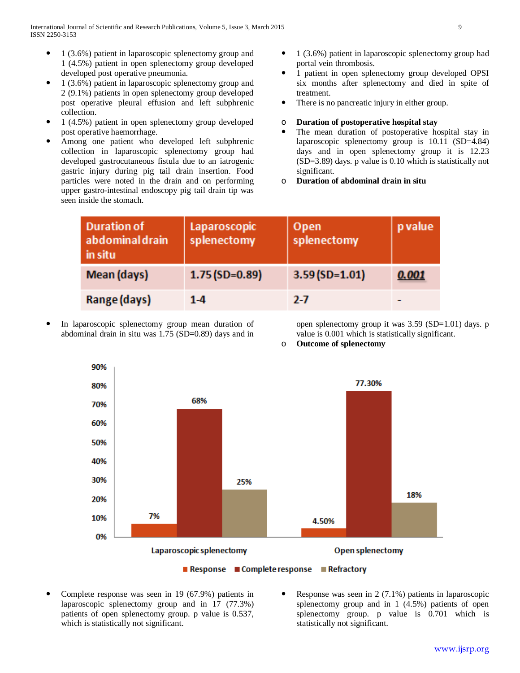- 1 (3.6%) patient in laparoscopic splenectomy group and 1 (4.5%) patient in open splenectomy group developed developed post operative pneumonia.
- 1 (3.6%) patient in laparoscopic splenectomy group and 2 (9.1%) patients in open splenectomy group developed post operative pleural effusion and left subphrenic collection.
- 1 (4.5%) patient in open splenectomy group developed post operative haemorrhage.
- Among one patient who developed left subphrenic collection in laparoscopic splenectomy group had developed gastrocutaneous fistula due to an iatrogenic gastric injury during pig tail drain insertion. Food particles were noted in the drain and on performing upper gastro-intestinal endoscopy pig tail drain tip was seen inside the stomach.
- 1 (3.6%) patient in laparoscopic splenectomy group had portal vein thrombosis.
- 1 patient in open splenectomy group developed OPSI six months after splenectomy and died in spite of treatment.
- There is no pancreatic injury in either group.
- o **Duration of postoperative hospital stay**
- The mean duration of postoperative hospital stay in laparoscopic splenectomy group is 10.11 (SD=4.84) days and in open splenectomy group it is 12.23 (SD=3.89) days. p value is 0.10 which is statistically not significant.
- o **Duration of abdominal drain in situ**

| <b>Duration of</b><br>abdominal drain<br>in situ | Laparoscopic<br>splenectomy | Open<br>splenectomy | p value |
|--------------------------------------------------|-----------------------------|---------------------|---------|
| Mean (days)                                      | $1.75(SD=0.89)$             | $3.59(SD=1.01)$     | 0.001   |
| Range (days)                                     | $1 - 4$                     | $2 - 7$             |         |

 In laparoscopic splenectomy group mean duration of abdominal drain in situ was 1.75 (SD=0.89) days and in open splenectomy group it was  $3.59$  (SD=1.01) days. p value is 0.001 which is statistically significant.

o **Outcome of splenectomy**



- Complete response was seen in 19 (67.9%) patients in laparoscopic splenectomy group and in 17 (77.3%) patients of open splenectomy group. p value is 0.537, which is statistically not significant.
- Response was seen in 2 (7.1%) patients in laparoscopic splenectomy group and in 1 (4.5%) patients of open splenectomy group. p value is 0.701 which is statistically not significant.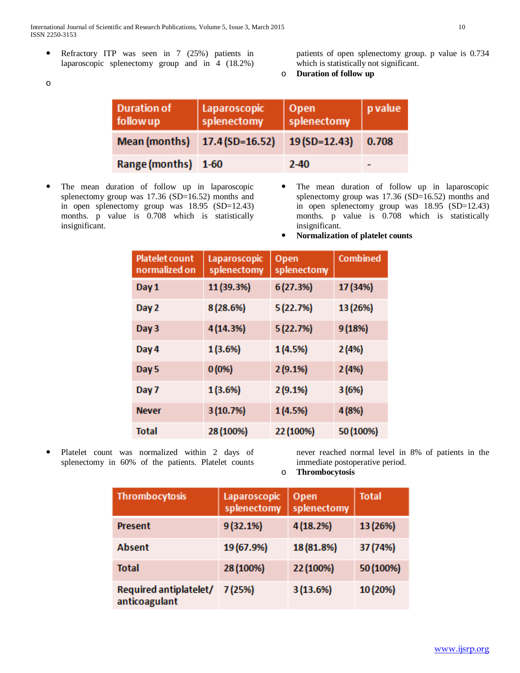International Journal of Scientific and Research Publications, Volume 5, Issue 3, March 2015 10 ISSN 2250-3153

 Refractory ITP was seen in 7 (25%) patients in laparoscopic splenectomy group and in 4 (18.2%)

o

patients of open splenectomy group. p value is 0.734 which is statistically not significant.

o **Duration of follow up**

| <b>Duration of</b><br>followup | Laparoscopic<br>  splenectomy                     | Open<br>splenectomy | <i>p</i> value |
|--------------------------------|---------------------------------------------------|---------------------|----------------|
|                                | Mean (months) 17.4 (SD=16.52) 19 (SD=12.43) 0.708 |                     |                |
| Range (months) 1-60            |                                                   | $2 - 40$            |                |

- The mean duration of follow up in laparoscopic splenectomy group was 17.36 (SD=16.52) months and in open splenectomy group was 18.95 (SD=12.43) months. p value is 0.708 which is statistically insignificant.
- The mean duration of follow up in laparoscopic splenectomy group was 17.36 (SD=16.52) months and in open splenectomy group was 18.95 (SD=12.43) months. p value is 0.708 which is statistically insignificant.
- **Normalization of platelet counts**

| <b>Platelet count</b><br>normalized on | Laparoscopic<br>splenectomy | <b>Open</b><br>splenectomy | Combined  |
|----------------------------------------|-----------------------------|----------------------------|-----------|
| Day 1                                  | 11 (39.3%)                  | 6 (27.3%)                  | 17 (34%)  |
| Day 2                                  | 8 (28.6%)                   | 5 (22.7%)                  | 13 (26%)  |
| Day 3                                  | 4 (14.3%)                   | 5 (22.7%)                  | 9 (18%)   |
| Day 4                                  | 1 (3.6%)                    | 1 (4.5%)                   | 2(4%)     |
| Day 5                                  | 0(0%                        | 2(9.1%)                    | 2(4%)     |
| Day 7                                  | 1 (3.6%)                    | 2(9.1%)                    | 3 (6%)    |
| <b>Never</b>                           | 3 (10.7%)                   | 1 (4.5%)                   | 4 (8%)    |
| <b>Total</b>                           | 28 (100%)                   | 22 (100%)                  | 50 (100%) |

 Platelet count was normalized within 2 days of splenectomy in 60% of the patients. Platelet counts never reached normal level in 8% of patients in the immediate postoperative period.

o **Thrombocytosis** 

| <b>Thrombocytosis</b>                   | Laparoscopic<br>splenectomy | Open<br>splenectomy | <b>Total</b> |
|-----------------------------------------|-----------------------------|---------------------|--------------|
| <b>Present</b>                          | 9(32.1%)                    | 4(18.2%)            | 13 (26%)     |
| Absent                                  | 19 (67.9%)                  | 18 (81.8%)          | 37 (74%)     |
| Total                                   | 28 (100%)                   | 22 (100%)           | 50 (100%)    |
| Required antiplatelet/<br>anticoagulant | 7(25%)                      | 3(13.6%)            | 10 (20%)     |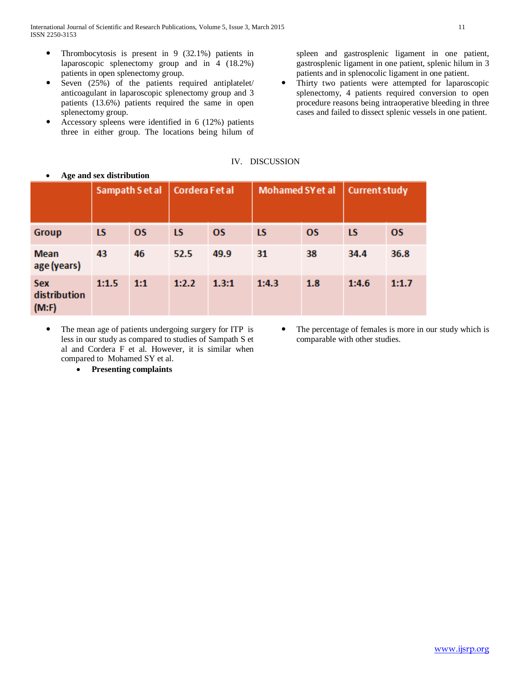- Thrombocytosis is present in 9 (32.1%) patients in laparoscopic splenectomy group and in 4 (18.2%) patients in open splenectomy group.
- Seven (25%) of the patients required antiplatelet/ anticoagulant in laparoscopic splenectomy group and 3 patients (13.6%) patients required the same in open splenectomy group.
- Accessory spleens were identified in 6 (12%) patients three in either group. The locations being hilum of

spleen and gastrosplenic ligament in one patient, gastrosplenic ligament in one patient, splenic hilum in 3 patients and in splenocolic ligament in one patient.

 Thirty two patients were attempted for laparoscopic splenectomy, 4 patients required conversion to open procedure reasons being intraoperative bleeding in three cases and failed to dissect splenic vessels in one patient.

# IV. DISCUSSION

|                                     | Sampath S et al |           | Cordera Fet al |           | Mohamed SY et al |           | <b>Current study</b> |           |
|-------------------------------------|-----------------|-----------|----------------|-----------|------------------|-----------|----------------------|-----------|
| <b>Group</b>                        | LS              | <b>OS</b> | <b>LS</b>      | <b>OS</b> | <b>LS</b>        | <b>OS</b> | <b>LS</b>            | <b>OS</b> |
| <b>Mean</b><br>age (years)          | 43              | 46        | 52.5           | 49.9      | 31               | 38        | 34.4                 | 36.8      |
| <b>Sex</b><br>distribution<br>(M:F) | 1:1.5           | 1:1       | 1:2.2          | 1.3:1     | 1:4.3            | 1.8       | 1:4.6                | 1:1.7     |

• **Age and sex distribution**

 The mean age of patients undergoing surgery for ITP is less in our study as compared to studies of Sampath S et al and Cordera F et al. However, it is similar when compared to Mohamed SY et al.

• **Presenting complaints**

 The percentage of females is more in our study which is comparable with other studies.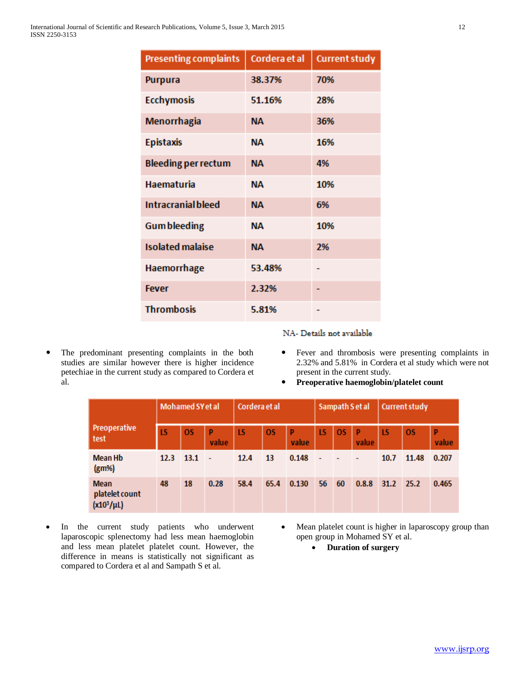| <b>Presenting complaints</b> | Cordera et al | <b>Current study</b> |
|------------------------------|---------------|----------------------|
| <b>Purpura</b>               | 38.37%        | 70%                  |
| <b>Ecchymosis</b>            | 51.16%        | 28%                  |
| Menorrhagia                  | NА            | 36%                  |
| <b>Epistaxis</b>             | NА            | 16%                  |
| <b>Bleeding per rectum</b>   | <b>NA</b>     | 4%                   |
| <b>Haematuria</b>            | <b>NA</b>     | 10%                  |
| <b>Intracranial bleed</b>    | <b>NA</b>     | 6%                   |
| <b>Gum bleeding</b>          | <b>NA</b>     | 10%                  |
| <b>Isolated malaise</b>      | <b>NA</b>     | 2%                   |
| Haemorrhage                  | 53.48%        |                      |
| <b>Fever</b>                 | 2.32%         |                      |
| <b>Thrombosis</b>            | 5.81%         |                      |

 The predominant presenting complaints in the both studies are similar however there is higher incidence petechiae in the current study as compared to Cordera et al.

NA- Details not available

- Fever and thrombosis were presenting complaints in 2.32% and 5.81% in Cordera et al study which were not present in the current study.
- **Preoperative haemoglobin/platelet count**

|                                                  | <b>Mohamed SY et al</b> |           |                          | Cordera et al |           |       | Sampath S et al |           |                          | <b>Current study</b> |           |            |
|--------------------------------------------------|-------------------------|-----------|--------------------------|---------------|-----------|-------|-----------------|-----------|--------------------------|----------------------|-----------|------------|
| <b>Preoperative</b><br>test                      | LS                      | <b>OS</b> | P<br>value               | LS            | <b>OS</b> | value | <b>LS</b>       | <b>OS</b> | P<br>value               | LS                   | <b>OS</b> | P<br>value |
| <b>Mean Hb</b><br>(g <sub>m</sub> ) <sub>6</sub> | 12.3                    | 13.1      | $\overline{\phantom{a}}$ | 12.4          | 13        | 0.148 | ÷,              |           | $\overline{\phantom{a}}$ | 10.7                 | 11.48     | 0.207      |
| <b>Mean</b><br>platelet count<br>$(x10^3/\mu L)$ | 48                      | 18        | 0.28                     | 58.4          | 65.4      | 0.130 | 56              | - 60      | 0.8.8                    | $31.2$ 25.2          |           | 0.465      |

- In the current study patients who underwent laparoscopic splenectomy had less mean haemoglobin and less mean platelet platelet count. However, the difference in means is statistically not significant as compared to Cordera et al and Sampath S et al.
- Mean platelet count is higher in laparoscopy group than open group in Mohamed SY et al.
	- **Duration of surgery**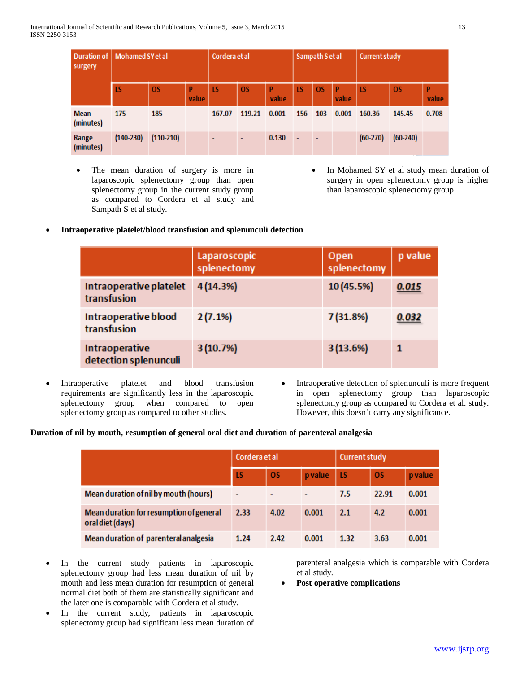| surgery                  | Duration of   Mohamed SY et al |             |            | Cordera et al | Sampath Set al |            |           | <b>Current study</b> |            |            |            |            |
|--------------------------|--------------------------------|-------------|------------|---------------|----------------|------------|-----------|----------------------|------------|------------|------------|------------|
|                          | <b>LS</b>                      | <b>OS</b>   | P<br>value | LS            | <b>OS</b>      | P<br>value | <b>LS</b> | <b>OS</b>            | p<br>value | <b>LS</b>  | <b>OS</b>  | P<br>value |
| <b>Mean</b><br>(minutes) | 175                            | 185         | ۰          | 167.07        | 119.21         | 0.001      | 156       | 103                  | 0.001      | 160.36     | 145.45     | 0.708      |
| Range<br>(minutes)       | $(140-230)$                    | $(110-210)$ |            |               | $\blacksquare$ | 0.130      |           |                      |            | $(60-270)$ | $(60-240)$ |            |

- The mean duration of surgery is more in laparoscopic splenectomy group than open splenectomy group in the current study group as compared to Cordera et al study and Sampath S et al study.
- In Mohamed SY et al study mean duration of surgery in open splenectomy group is higher than laparoscopic splenectomy group.

# • **Intraoperative platelet/blood transfusion and splenunculi detection**

|                                         | Laparoscopic<br>splenectomy | Open<br>splenectomy | p value |
|-----------------------------------------|-----------------------------|---------------------|---------|
| Intraoperative platelet<br>transfusion  | 4(14.3%)                    | 10 (45.5%)          | 0.015   |
| Intraoperative blood<br>transfusion     | 2(7.1%)                     | 7 (31.8%)           | 0.032   |
| Intraoperative<br>detection splenunculi | 3(10.7%)                    | 3(13.6%)            | 1       |

- Intraoperative platelet and blood transfusion requirements are significantly less in the laparoscopic splenectomy group when compared to open splenectomy group as compared to other studies.
- Intraoperative detection of splenunculi is more frequent in open splenectomy group than laparoscopic splenectomy group as compared to Cordera et al. study. However, this doesn't carry any significance.

# **Duration of nil by mouth, resumption of general oral diet and duration of parenteral analgesia**

|                                                             | Cordera et al |           |         | <b>Current study</b> |           |         |  |
|-------------------------------------------------------------|---------------|-----------|---------|----------------------|-----------|---------|--|
|                                                             | LS            | <b>OS</b> | p value | <b>LS</b>            | <b>OS</b> | p value |  |
| Mean duration of nil by mouth (hours)                       | ۰             |           | ۰       | 7.5                  | 22.91     | 0.001   |  |
| Mean duration for resumption of general<br>oral diet (days) | 2.33          | 4.02      | 0.001   | 2.1                  | 4.2       | 0.001   |  |
| Mean duration of parenteral analgesia                       | 1.24          | 2.42      | 0.001   | 1.32                 | 3.63      | 0.001   |  |

- In the current study patients in laparoscopic splenectomy group had less mean duration of nil by mouth and less mean duration for resumption of general normal diet both of them are statistically significant and the later one is comparable with Cordera et al study.
- In the current study, patients in laparoscopic splenectomy group had significant less mean duration of

parenteral analgesia which is comparable with Cordera et al study.

• **Post operative complications**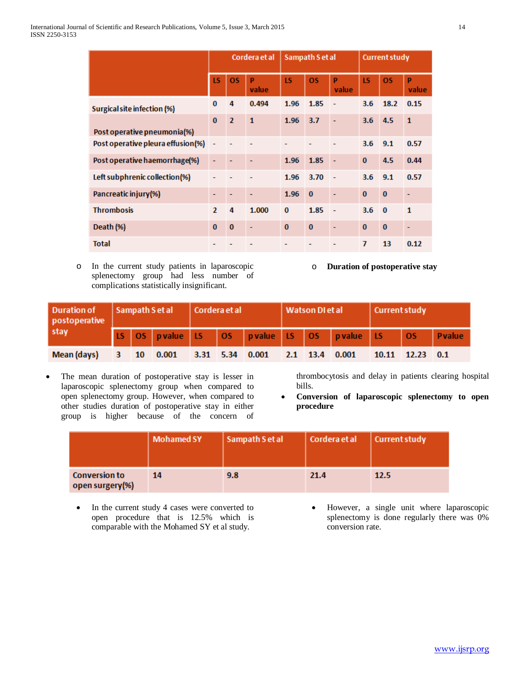|                                   |               |                | Cordera et al |           | Sampath S et al |                          | <b>Current study</b> |           |                          |  |
|-----------------------------------|---------------|----------------|---------------|-----------|-----------------|--------------------------|----------------------|-----------|--------------------------|--|
|                                   | LS            | <b>OS</b>      | D<br>value    | <b>LS</b> | <b>OS</b>       | p<br>value               | <b>LS</b>            | <b>OS</b> | p<br>value               |  |
| Surgical site infection (%)       | $\bf{0}$      | 4              | 0.494         | 1.96      | 1.85            | ÷,                       | 3.6                  | 18.2      | 0.15                     |  |
| Post operative pneumonia(%)       | $\bf{0}$      | $\overline{2}$ | $\mathbf{1}$  | 1.96      | 3.7             | ÷                        | 3.6                  | $-4.5$    | $\mathbf{1}$             |  |
| Post operative pleura effusion(%) | ÷             |                |               |           |                 |                          | 3.6                  | 9.1       | 0.57                     |  |
| Post operative haemorrhage(%)     | ٠             |                |               | 1.96      | 1.85            | ÷,                       | $\bf{0}$             | 4.5       | 0.44                     |  |
| Left subphrenic collection(%)     |               |                |               | 1.96      | 3.70            | $\overline{\phantom{a}}$ | 3.6                  | 9.1       | 0.57                     |  |
| Pancreatic injury(%)              |               |                | ۰             | 1.96      | $\bf{0}$        |                          | $\bf{0}$             | $\bf{0}$  | $\overline{\phantom{0}}$ |  |
| <b>Thrombosis</b>                 | $\mathcal{P}$ | 4              | 1.000         | $\bf{0}$  | 1.85            | $\overline{\phantom{a}}$ | 3.6                  | $\bf{0}$  | $\mathbf{1}$             |  |
| Death (%)                         | $\bf{0}$      | $\bf{0}$       |               | $\bf{0}$  | $\bf{0}$        | ٠                        | $\bf{0}$             | $\bf{0}$  |                          |  |
| <b>Total</b>                      |               |                |               |           |                 |                          | 7                    | 13        | 0.12                     |  |

o In the current study patients in laparoscopic splenectomy group had less number of complications statistically insignificant.

o **Duration of postoperative stay**

| postoperative<br>stay                                 | Duration of   Sampath Set al   Cordera et al |  |  |  |  |  | Watson DI et al |  |                                                     | Current study   |  |  |
|-------------------------------------------------------|----------------------------------------------|--|--|--|--|--|-----------------|--|-----------------------------------------------------|-----------------|--|--|
|                                                       |                                              |  |  |  |  |  |                 |  | LS OS pvalue LS OS pvalue LS OS pvalue LS OS Pvalue |                 |  |  |
| Mean (days) 3 10 0.001 3.31 5.34 0.001 2.1 13.4 0.001 |                                              |  |  |  |  |  |                 |  |                                                     | 10.11 12.23 0.1 |  |  |

The mean duration of postoperative stay is lesser in laparoscopic splenectomy group when compared to open splenectomy group. However, when compared to other studies duration of postoperative stay in either group is higher because of the concern of thrombocytosis and delay in patients clearing hospital bills.

• **Conversion of laparoscopic splenectomy to open procedure**

|                                         | <b>Mohamed SY</b> | Sampath Set al | Cordera et al | Current study |
|-----------------------------------------|-------------------|----------------|---------------|---------------|
| <b>Conversion to</b><br>open surgery(%) | 14                | 9.8            | 21.4          | 12.5          |

- In the current study 4 cases were converted to open procedure that is 12.5% which is comparable with the Mohamed SY et al study.
- However, a single unit where laparoscopic splenectomy is done regularly there was 0% conversion rate.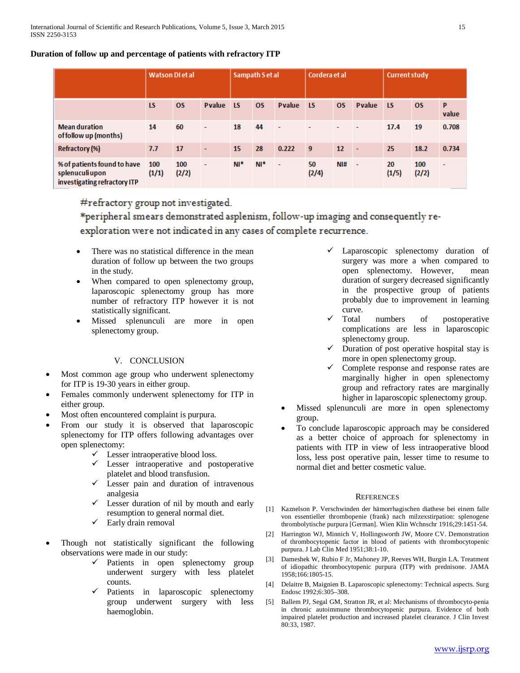# **Duration of follow up and percentage of patients with refractory ITP**

|                                                                               | <b>Watson Dietal</b> |              |                          |        | Sampath S et al |                |             | Cordera et al   |                |             | Current study |                          |  |
|-------------------------------------------------------------------------------|----------------------|--------------|--------------------------|--------|-----------------|----------------|-------------|-----------------|----------------|-------------|---------------|--------------------------|--|
|                                                                               | <b>LS</b>            | <b>OS</b>    | <b>P</b> value           | ∣LS.   | <b>OS</b>       | <b>P</b> value | <b>LS</b>   | <b>OS</b>       | <b>P</b> value | <b>LS</b>   | <b>OS</b>     | P<br>value               |  |
| <b>Mean duration</b><br>of follow up (months)                                 | 14                   | 60           | ٠                        | 18     | 44              | $\sim$         |             |                 |                | 17.4        | 19            | 0.708                    |  |
| <b>Refractory (%)</b>                                                         | 7.7                  | 17           | ۰                        | 15     | 28              | 0.222          | 9           | 12 <sup>2</sup> | $\sim$         | 25          | 18.2          | 0.734                    |  |
| % of patients found to have<br>splenuculiupon<br>investigating refractory ITP | 100<br>(1/1)         | 100<br>(2/2) | $\overline{\phantom{a}}$ | $N!^*$ | $N!^*$          | $\sim$         | 50<br>(2/4) | N <sub>1#</sub> | $\sim$         | 20<br>(1/5) | 100<br>(2/2)  | $\overline{\phantom{a}}$ |  |

#refractory group not investigated.

\*peripheral smears demonstrated asplenism, follow-up imaging and consequently reexploration were not indicated in any cases of complete recurrence.

- There was no statistical difference in the mean duration of follow up between the two groups in the study.
- When compared to open splenectomy group, laparoscopic splenectomy group has more number of refractory ITP however it is not statistically significant.
- Missed splenunculi are more in open splenectomy group.

# V. CONCLUSION

- Most common age group who underwent splenectomy for ITP is 19-30 years in either group.
- Females commonly underwent splenectomy for ITP in either group.
- Most often encountered complaint is purpura.
- From our study it is observed that laparoscopic splenectomy for ITP offers following advantages over open splenectomy:
	- $\checkmark$  Lesser intraoperative blood loss.
	- $\checkmark$  Lesser intraoperative and postoperative platelet and blood transfusion.
	- $\checkmark$  Lesser pain and duration of intravenous analgesia
	- $\checkmark$  Lesser duration of nil by mouth and early resumption to general normal diet.
	- $\checkmark$  Early drain removal
- Though not statistically significant the following observations were made in our study:
	- $\checkmark$  Patients in open splenectomy group underwent surgery with less platelet counts.
	- $\checkmark$  Patients in laparoscopic splenectomy group underwent surgery with less haemoglobin.
- Laparoscopic splenectomy duration of surgery was more a when compared to open splenectomy. However, mean duration of surgery decreased significantly in the prospective group of patients probably due to improvement in learning curve.
- Total numbers of postoperative complications are less in laparoscopic splenectomy group.
- Duration of post operative hospital stay is more in open splenectomy group.
- $\checkmark$  Complete response and response rates are marginally higher in open splenectomy group and refractory rates are marginally higher in laparoscopic splenectomy group.
- Missed splenunculi are more in open splenectomy group.
- To conclude laparoscopic approach may be considered as a better choice of approach for splenectomy in patients with ITP in view of less intraoperative blood loss, less post operative pain, lesser time to resume to normal diet and better cosmetic value.

# **REFERENCES**

- Kaznelson P. Verschwinden der hämorrhagischen diathese bei einem falle von essentieller thrombopenie (frank) nach milzexstirpation: splenogene thrombolytische purpura [German]. Wien Klin Wchnschr 1916;29:1451-54.
- [2] Harrington WJ, Minnich V, Hollingsworth JW, Moore CV. Demonstration of thrombocytopenic factor in blood of patients with thrombocytopenic purpura. J Lab Clin Med 1951;38:1-10.
- [3] Dameshek W, Rubio F Jr, Mahoney JP, Reeves WH, Burgin LA. Treatment of idiopathic thrombocytopenic purpura (ITP) with prednisone. JAMA 1958;166:1805-15.
- [4] Delaitre B, Maignien B. Laparoscopic splenectomy: Technical aspects. Surg Endosc 1992;6:305–308.
- [5] Ballem PJ, Segal GM, Stratton JR, et al: Mechanisms of thrombocyto-penia in chronic autoimmune thrombocytopenic purpura. Evidence of both impaired platelet production and increased platelet clearance. J Clin Invest 80:33, 1987.